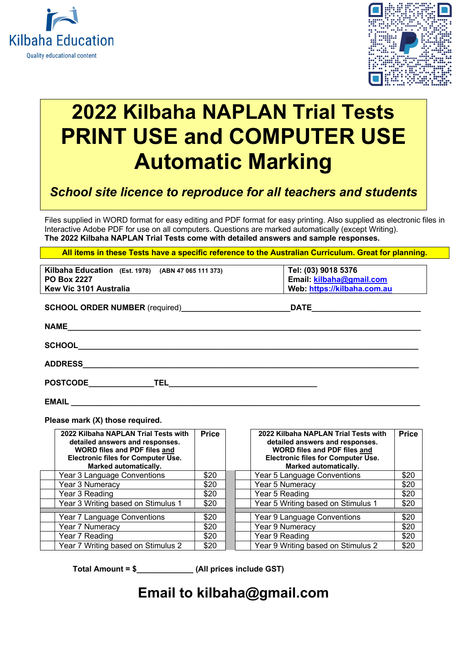



# **2022 Kilbaha NAPLAN Trial Tests PRINT USE and COMPUTER USE Automatic Marking**

### *School site licence to reproduce for all teachers and students*

Files supplied in WORD format for easy editing and PDF format for easy printing. Also supplied as electronic files in Interactive Adobe PDF for use on all computers. Questions are marked automatically (except Writing). **The 2022 Kilbaha NAPLAN Trial Tests come with detailed answers and sample responses.**

**All items in these Tests have a specific reference to the Australian Curriculum. Great for planning.** 

| Kilbaha Education (Est. 1978) (ABN 47 065 111 373) | Tel: (03) 9018 5376         |
|----------------------------------------------------|-----------------------------|
| <b>PO Box 2227</b>                                 | Email: kilbaha@gmail.com    |
| Kew Vic 3101 Australia                             | Web: https://kilbaha.com.au |
|                                                    |                             |
|                                                    | <b>DATE</b>                 |
|                                                    |                             |
| <b>NAME</b>                                        |                             |
|                                                    |                             |
|                                                    |                             |
|                                                    |                             |
| <b>ADDRESS</b>                                     |                             |
|                                                    |                             |
|                                                    |                             |
| EMAIL                                              |                             |
|                                                    |                             |

**Please mark (X) those required.**

| 2022 Kilbaha NAPLAN Trial Tests with<br>detailed answers and responses.<br><b>WORD files and PDF files and</b><br><b>Electronic files for Computer Use.</b><br><b>Marked automatically.</b> | <b>Price</b> | 2022 Kilbaha NAPLAN Trial Tests with<br>detailed answers and responses.<br><b>WORD files and PDF files and</b><br><b>Electronic files for Computer Use.</b><br><b>Marked automatically.</b> | <b>Price</b> |
|---------------------------------------------------------------------------------------------------------------------------------------------------------------------------------------------|--------------|---------------------------------------------------------------------------------------------------------------------------------------------------------------------------------------------|--------------|
| Year 3 Language Conventions                                                                                                                                                                 | \$20         | Year 5 Language Conventions                                                                                                                                                                 | \$20         |
| Year 3 Numeracy                                                                                                                                                                             | \$20         | Year 5 Numeracy                                                                                                                                                                             | \$20         |
| Year 3 Reading                                                                                                                                                                              | \$20         | Year 5 Reading                                                                                                                                                                              | \$20         |
| Year 3 Writing based on Stimulus 1                                                                                                                                                          | \$20         | Year 5 Writing based on Stimulus 1                                                                                                                                                          | \$20         |
| Year 7 Language Conventions                                                                                                                                                                 | \$20         | Year 9 Language Conventions                                                                                                                                                                 | \$20         |
| Year 7 Numeracy                                                                                                                                                                             | \$20         | Year 9 Numeracy                                                                                                                                                                             | \$20         |
| Year 7 Reading                                                                                                                                                                              | \$20         | Year 9 Reading                                                                                                                                                                              | \$20         |
| Year 7 Writing based on Stimulus 2                                                                                                                                                          | \$20         | Year 9 Writing based on Stimulus 2                                                                                                                                                          | \$20         |

**Total Amount = \$\_\_\_\_\_\_\_\_\_\_\_\_\_ (All prices include GST)**

### **Email to kilbaha@gmail.com**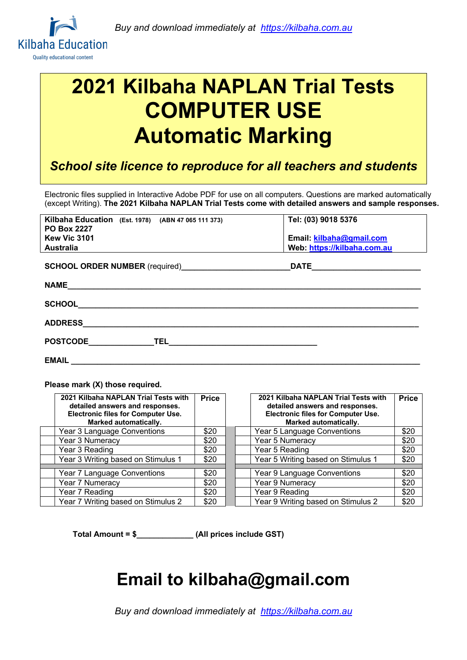

# **2021 Kilbaha NAPLAN Trial Tests COMPUTER USE Automatic Marking**

*School site licence to reproduce for all teachers and students*

Electronic files supplied in Interactive Adobe PDF for use on all computers. Questions are marked automatically (except Writing). **The 2021 Kilbaha NAPLAN Trial Tests come with detailed answers and sample responses.**

| Kilbaha Education (Est. 1978) (ABN 47 065 111 373)<br><b>PO Box 2227</b><br>Kew Vic 3101<br><b>Australia</b> | Tel: (03) 9018 5376<br>Email: kilbaha@gmail.com<br>Web https://kilbaha.com.au |
|--------------------------------------------------------------------------------------------------------------|-------------------------------------------------------------------------------|
|                                                                                                              | <b>DATE <i>CONTRACTERS</i></b>                                                |
| <b>NAME</b>                                                                                                  |                                                                               |
| <b>SCHOOL</b>                                                                                                |                                                                               |
| <b>ADDRESS</b>                                                                                               |                                                                               |
| <b>POSTCODE</b><br>TEL __________________________                                                            |                                                                               |

**EMAIL \_\_\_\_\_\_\_\_\_\_\_\_\_\_\_\_\_\_\_\_\_\_\_\_\_\_\_\_\_\_\_\_\_\_\_\_\_\_\_\_\_\_\_\_\_\_\_\_\_\_\_\_\_\_\_\_\_\_\_\_\_\_\_\_\_\_\_\_\_\_\_\_\_\_\_\_\_\_\_\_** 

**Please mark (X) those required.**

| 2021 Kilbaha NAPLAN Trial Tests with<br>detailed answers and responses.<br><b>Electronic files for Computer Use.</b><br><b>Marked automatically.</b> | <b>Price</b> | 2021 Kilbaha NAPLAN Trial Tests with<br>detailed answers and responses.<br><b>Electronic files for Computer Use.</b><br><b>Marked automatically.</b> | <b>Price</b> |
|------------------------------------------------------------------------------------------------------------------------------------------------------|--------------|------------------------------------------------------------------------------------------------------------------------------------------------------|--------------|
| Year 3 Language Conventions                                                                                                                          | \$20         | Year 5 Language Conventions                                                                                                                          | \$20         |
| Year 3 Numeracy                                                                                                                                      | \$20         | Year 5 Numeracy                                                                                                                                      | \$20         |
| Year 3 Reading                                                                                                                                       | \$20         | Year 5 Reading                                                                                                                                       | \$20         |
| Year 3 Writing based on Stimulus 1                                                                                                                   | \$20         | Year 5 Writing based on Stimulus 1                                                                                                                   | \$20         |
| Year 7 Language Conventions                                                                                                                          | \$20         | Year 9 Language Conventions                                                                                                                          | \$20         |
| Year 7 Numeracy                                                                                                                                      | \$20         | Year 9 Numeracy                                                                                                                                      | \$20         |
| Year 7 Reading                                                                                                                                       | \$20         | Year 9 Reading                                                                                                                                       | \$20         |
| Year 7 Writing based on Stimulus 2                                                                                                                   | \$20         | Year 9 Writing based on Stimulus 2                                                                                                                   | \$20         |

**Total Amount = \$\_\_\_\_\_\_\_\_\_\_\_\_\_ (All prices include GST)**

### **Email to kilbaha@gmail.com**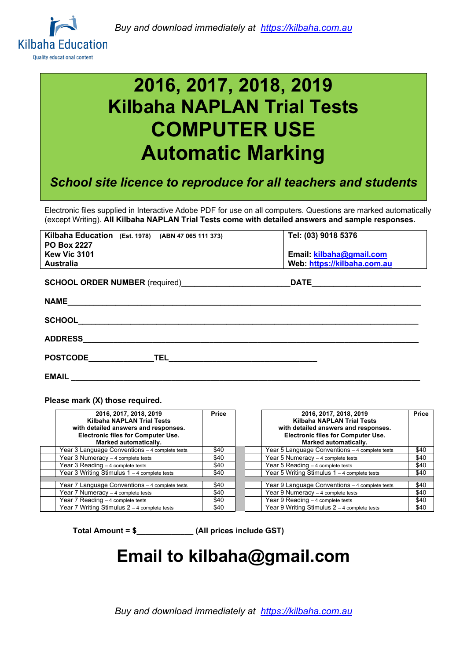

# **2016, 2017, 2018, 2019 Kilbaha NAPLAN Trial Tests COMPUTER USE Automatic Marking**

*School site licence to reproduce for all teachers and students*

Electronic files supplied in Interactive Adobe PDF for use on all computers. Questions are marked automatically (except Writing). **All Kilbaha NAPLAN Trial Tests come with detailed answers and sample responses.**

| Kilbaha Education (Est. 1978) (ABN 47 065 111 373)<br><b>PO Box 2227</b> | Tel: (03) 9018 5376         |
|--------------------------------------------------------------------------|-----------------------------|
| Kew Vic 3101                                                             | Email: kilbaha@gmail.com    |
| <b>Australia</b>                                                         | Web: https://kilbaha.com.au |
| <b>SCHOOL ORDER NUMBER</b> (required)                                    | <b>DATE</b>                 |
| <b>NAME</b>                                                              |                             |
| <b>SCHOOL</b>                                                            |                             |
| <b>ADDRESS</b>                                                           |                             |
| <b>POSTCODE</b><br><b>TEL</b>                                            |                             |

**EMAIL \_\_\_\_\_\_\_\_\_\_\_\_\_\_\_\_\_\_\_\_\_\_\_\_\_\_\_\_\_\_\_\_\_\_\_\_\_\_\_\_\_\_\_\_\_\_\_\_\_\_\_\_\_\_\_\_\_\_\_\_\_\_\_\_\_\_\_\_\_\_\_\_\_\_\_\_\_\_\_\_** 

**Please mark (X) those required.**

| 2016, 2017, 2018, 2019<br>Kilbaha NAPLAN Trial Tests<br>with detailed answers and responses.<br><b>Electronic files for Computer Use.</b><br>Marked automatically. | <b>Price</b> | 2016, 2017, 2018, 2019<br><b>Kilbaha NAPLAN Trial Tests</b><br>with detailed answers and responses.<br><b>Electronic files for Computer Use.</b><br>Marked automatically. | Price |
|--------------------------------------------------------------------------------------------------------------------------------------------------------------------|--------------|---------------------------------------------------------------------------------------------------------------------------------------------------------------------------|-------|
| Year 3 Language Conventions - 4 complete tests                                                                                                                     | \$40         | Year 5 Language Conventions - 4 complete tests                                                                                                                            | \$40  |
| Year 3 Numeracy - 4 complete tests                                                                                                                                 | \$40         | Year 5 Numeracy - 4 complete tests                                                                                                                                        | \$40  |
| Year 3 Reading - 4 complete tests                                                                                                                                  | \$40         | Year 5 Reading - 4 complete tests                                                                                                                                         | \$40  |
| Year 3 Writing Stimulus 1 - 4 complete tests                                                                                                                       | \$40         | Year 5 Writing Stimulus 1 - 4 complete tests                                                                                                                              | \$40  |
|                                                                                                                                                                    |              |                                                                                                                                                                           |       |
| Year 7 Language Conventions - 4 complete tests                                                                                                                     | \$40         | Year 9 Language Conventions - 4 complete tests                                                                                                                            | \$40  |
| Year 7 Numeracy - 4 complete tests                                                                                                                                 | \$40         | Year 9 Numeracy - 4 complete tests                                                                                                                                        | \$40  |
| Year 7 Reading - 4 complete tests                                                                                                                                  | \$40         | Year 9 Reading - 4 complete tests                                                                                                                                         | \$40  |
| Year 7 Writing Stimulus 2 - 4 complete tests                                                                                                                       | \$40         | Year 9 Writing Stimulus 2 - 4 complete tests                                                                                                                              | \$40  |

**Total Amount = \$\_\_\_\_\_\_\_\_\_\_\_\_\_ (All prices include GST)**

## **Email to kilbaha@gmail.com**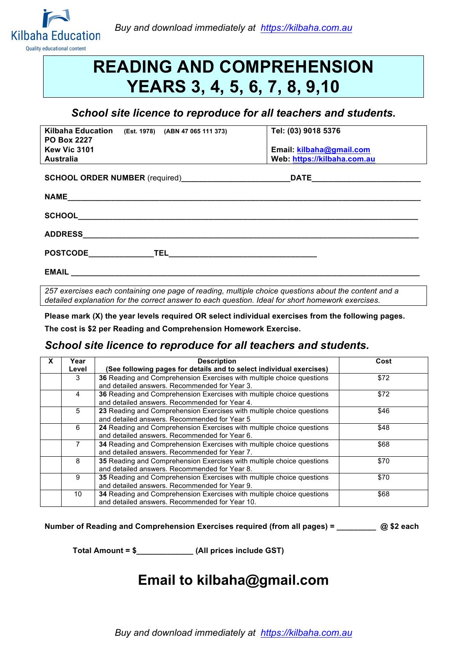

## **READING AND COMPREHENSION YEARS 3, 4, 5, 6, 7, 8, 9,10**

### *School site licence to reproduce for all teachers and students.*

| Kilbaha Education (Est. 1978) (ABN 47 065 111 373)<br><b>PO Box 2227</b>                                                                                                                                                       | Tel: (03) 9018 5376        |
|--------------------------------------------------------------------------------------------------------------------------------------------------------------------------------------------------------------------------------|----------------------------|
| <b>Kew Vic 3101</b>                                                                                                                                                                                                            | Email: kilbaha@gmail.com   |
| <b>Australia</b>                                                                                                                                                                                                               | Web https://kilbaha.com.au |
|                                                                                                                                                                                                                                |                            |
| NAME And the contract of the contract of the contract of the contract of the contract of the contract of the contract of the contract of the contract of the contract of the contract of the contract of the contract of the c |                            |
|                                                                                                                                                                                                                                |                            |
| ADDRESS AND ARRAIGNMENT CONTINUES.                                                                                                                                                                                             |                            |
|                                                                                                                                                                                                                                |                            |
|                                                                                                                                                                                                                                |                            |

*257 exercises each containing one page of reading, multiple choice questions about the content and a detailed explanation for the correct answer to each question. Ideal for short homework exercises.*

**Please mark (X) the year levels required OR select individual exercises from the following pages.**

**The cost is \$2 per Reading and Comprehension Homework Exercise.**

### *School site licence to reproduce for all teachers and students.*

| x | Year<br>Level                                                                                                               | <b>Description</b><br>(See following pages for details and to select individual exercises)                              | Cost |
|---|-----------------------------------------------------------------------------------------------------------------------------|-------------------------------------------------------------------------------------------------------------------------|------|
|   | 3                                                                                                                           | 36 Reading and Comprehension Exercises with multiple choice questions<br>and detailed answers. Recommended for Year 3.  | \$72 |
|   | 4                                                                                                                           | 36 Reading and Comprehension Exercises with multiple choice questions<br>and detailed answers. Recommended for Year 4.  | \$72 |
|   | 5<br>23 Reading and Comprehension Exercises with multiple choice questions<br>and detailed answers. Recommended for Year 5  |                                                                                                                         | \$46 |
|   | 6                                                                                                                           | 24 Reading and Comprehension Exercises with multiple choice questions<br>and detailed answers. Recommended for Year 6.  | \$48 |
|   | 7<br>34 Reading and Comprehension Exercises with multiple choice questions<br>and detailed answers. Recommended for Year 7. |                                                                                                                         | \$68 |
|   | 8                                                                                                                           | 35 Reading and Comprehension Exercises with multiple choice questions<br>and detailed answers. Recommended for Year 8.  | \$70 |
|   | 9                                                                                                                           | 35 Reading and Comprehension Exercises with multiple choice questions<br>and detailed answers. Recommended for Year 9.  | \$70 |
|   | 10                                                                                                                          | 34 Reading and Comprehension Exercises with multiple choice questions<br>and detailed answers. Recommended for Year 10. | \$68 |

**Number of Reading and Comprehension Exercises required (from all pages) = \_\_\_\_\_\_\_\_\_ @ \$2 each** 

**Total Amount = \$\_\_\_\_\_\_\_\_\_\_\_\_\_ (All prices include GST)**

### **Email to kilbaha@gmail.com**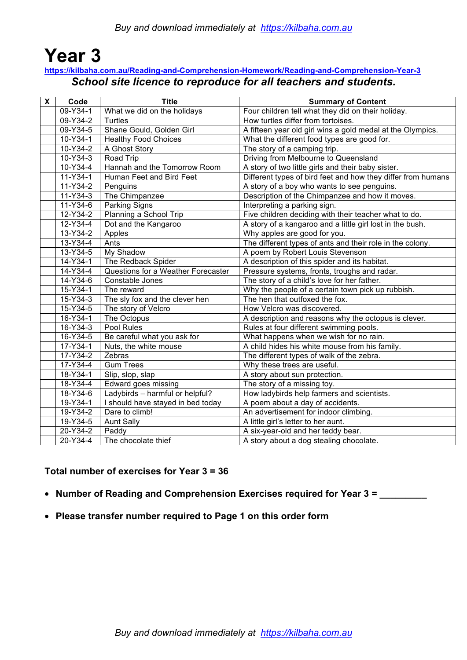### **Year 3 https://kilbaha.com.au/Reading-and-Comprehension-Homework/Reading-and-Comprehension-Year-3**

### *School site licence to reproduce for all teachers and students.*

| X | Code           | <b>Title</b>                       | <b>Summary of Content</b>                                    |
|---|----------------|------------------------------------|--------------------------------------------------------------|
|   | $09-Y34-1$     | What we did on the holidays        | Four children tell what they did on their holiday.           |
|   | 09-Y34-2       | <b>Turtles</b>                     | How turtles differ from tortoises.                           |
|   | 09-Y34-5       | Shane Gould, Golden Girl           | A fifteen year old girl wins a gold medal at the Olympics.   |
|   | 10-Y34-1       | <b>Healthy Food Choices</b>        | What the different food types are good for.                  |
|   | 10-Y34-2       | A Ghost Story                      | The story of a camping trip.                                 |
|   | 10-Y34-3       | Road Trip                          | Driving from Melbourne to Queensland                         |
|   | 10-Y34-4       | Hannah and the Tomorrow Room       | A story of two little girls and their baby sister.           |
|   | $11 - Y34 - 1$ | Human Feet and Bird Feet           | Different types of bird feet and how they differ from humans |
|   | $11 - Y34 - 2$ | Penguins                           | A story of a boy who wants to see penguins.                  |
|   | 11-Y34-3       | The Chimpanzee                     | Description of the Chimpanzee and how it moves.              |
|   | 11-Y34-6       | <b>Parking Signs</b>               | Interpreting a parking sign.                                 |
|   | 12-Y34-2       | Planning a School Trip             | Five children deciding with their teacher what to do.        |
|   | 12-Y34-4       | Dot and the Kangaroo               | A story of a kangaroo and a little girl lost in the bush.    |
|   | 13-Y34-2       | Apples                             | Why apples are good for you.                                 |
|   | 13-Y34-4       | Ants                               | The different types of ants and their role in the colony.    |
|   | 13-Y34-5       | My Shadow                          | A poem by Robert Louis Stevenson                             |
|   | 14-Y34-1       | The Redback Spider                 | A description of this spider and its habitat.                |
|   | 14-Y34-4       | Questions for a Weather Forecaster | Pressure systems, fronts, troughs and radar.                 |
|   | 14-Y34-6       | Constable Jones                    | The story of a child's love for her father.                  |
|   | 15-Y34-1       | The reward                         | Why the people of a certain town pick up rubbish.            |
|   | 15-Y34-3       | The sly fox and the clever hen     | The hen that outfoxed the fox.                               |
|   | 15-Y34-5       | The story of Velcro                | How Velcro was discovered.                                   |
|   | 16-Y34-1       | The Octopus                        | A description and reasons why the octopus is clever.         |
|   | 16-Y34-3       | Pool Rules                         | Rules at four different swimming pools.                      |
|   | 16-Y34-5       | Be careful what you ask for        | What happens when we wish for no rain.                       |
|   | 17-Y34-1       | Nuts, the white mouse              | A child hides his white mouse from his family.               |
|   | 17-Y34-2       | Zebras                             | The different types of walk of the zebra.                    |
|   | 17-Y34-4       | <b>Gum Trees</b>                   | Why these trees are useful.                                  |
|   | 18-Y34-1       | Slip, slop, slap                   | A story about sun protection.                                |
|   | 18-Y34-4       | Edward goes missing                | The story of a missing toy.                                  |
|   | 18-Y34-6       | Ladybirds - harmful or helpful?    | How ladybirds help farmers and scientists.                   |
|   | 19-Y34-1       | I should have stayed in bed today  | A poem about a day of accidents.                             |
|   | 19-Y34-2       | Dare to climb!                     | An advertisement for indoor climbing.                        |
|   | 19-Y34-5       | <b>Aunt Sally</b>                  | A little girl's letter to her aunt.                          |
|   | 20-Y34-2       | Paddy                              | A six-year-old and her teddy bear.                           |
|   | 20-Y34-4       | The chocolate thief                | A story about a dog stealing chocolate.                      |

### **Total number of exercises for Year 3 = 36**

- **Number of Reading and Comprehension Exercises required for Year 3 = \_\_\_\_\_\_\_\_\_**
- **Please transfer number required to Page 1 on this order form**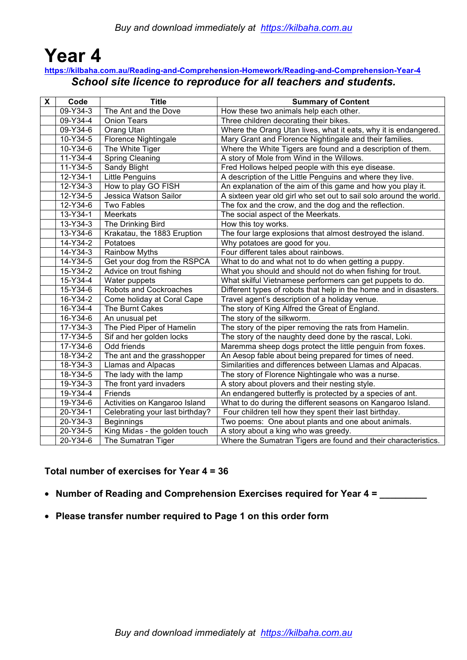# **Year 4**

### **https://kilbaha.com.au/Reading-and-Comprehension-Homework/Reading-and-Comprehension-Year-4** *School site licence to reproduce for all teachers and students.*

| X | Code           | <b>Title</b>                    | <b>Summary of Content</b>                                          |
|---|----------------|---------------------------------|--------------------------------------------------------------------|
|   | 09-Y34-3       | The Ant and the Dove            | How these two animals help each other.                             |
|   | 09-Y34-4       | <b>Onion Tears</b>              | Three children decorating their bikes.                             |
|   | 09-Y34-6       | Orang Utan                      | Where the Orang Utan lives, what it eats, why it is endangered.    |
|   | 10-Y34-5       | <b>Florence Nightingale</b>     | Mary Grant and Florence Nightingale and their families.            |
|   | 10-Y34-6       | The White Tiger                 | Where the White Tigers are found and a description of them.        |
|   | 11-Y34-4       | <b>Spring Cleaning</b>          | A story of Mole from Wind in the Willows.                          |
|   | 11-Y34-5       | Sandy Blight                    | Fred Hollows helped people with this eye disease.                  |
|   | 12-Y34-1       | Little Penguins                 | A description of the Little Penguins and where they live.          |
|   | 12-Y34-3       | How to play GO FISH             | An explanation of the aim of this game and how you play it.        |
|   | 12-Y34-5       | Jessica Watson Sailor           | A sixteen year old girl who set out to sail solo around the world. |
|   | 12-Y34-6       | Two Fables                      | The fox and the crow, and the dog and the reflection.              |
|   | 13-Y34-1       | Meerkats                        | The social aspect of the Meerkats.                                 |
|   | 13-Y34-3       | The Drinking Bird               | How this toy works.                                                |
|   | 13-Y34-6       | Krakatau, the 1883 Eruption     | The four large explosions that almost destroyed the island.        |
|   | 14-Y34-2       | Potatoes                        | Why potatoes are good for you.                                     |
|   | $14-Y34-3$     | <b>Rainbow Myths</b>            | Four different tales about rainbows.                               |
|   | 14-Y34-5       | Get your dog from the RSPCA     | What to do and what not to do when getting a puppy.                |
|   | 15-Y34-2       | Advice on trout fishing         | What you should and should not do when fishing for trout.          |
|   | 15-Y34-4       | Water puppets                   | What skilful Vietnamese performers can get puppets to do.          |
|   | 15-Y34-6       | Robots and Cockroaches          | Different types of robots that help in the home and in disasters.  |
|   | 16-Y34-2       | Come holiday at Coral Cape      | Travel agent's description of a holiday venue.                     |
|   | 16-Y34-4       | The Burnt Cakes                 | The story of King Alfred the Great of England.                     |
|   | $16 - Y34 - 6$ | An unusual pet                  | The story of the silkworm.                                         |
|   | $17 - Y34 - 3$ | The Pied Piper of Hamelin       | The story of the piper removing the rats from Hamelin.             |
|   | $17 - Y34 - 5$ | Sif and her golden locks        | The story of the naughty deed done by the rascal, Loki.            |
|   | 17-Y34-6       | Odd friends                     | Maremma sheep dogs protect the little penguin from foxes.          |
|   | 18-Y34-2       | The ant and the grasshopper     | An Aesop fable about being prepared for times of need.             |
|   | 18-Y34-3       | Llamas and Alpacas              | Similarities and differences between Llamas and Alpacas.           |
|   | 18-Y34-5       | The lady with the lamp          | The story of Florence Nightingale who was a nurse.                 |
|   | 19-Y34-3       | The front yard invaders         | A story about plovers and their nesting style.                     |
|   | 19-Y34-4       | Friends                         | An endangered butterfly is protected by a species of ant.          |
|   | 19-Y34-6       | Activities on Kangaroo Island   | What to do during the different seasons on Kangaroo Island.        |
|   | 20-Y34-1       | Celebrating your last birthday? | Four children tell how they spent their last birthday.             |
|   | 20-Y34-3       | Beginnings                      | Two poems: One about plants and one about animals.                 |
|   | 20-Y34-5       | King Midas - the golden touch   | A story about a king who was greedy.                               |
|   | $20-Y34-6$     | The Sumatran Tiger              | Where the Sumatran Tigers are found and their characteristics.     |

### **Total number of exercises for Year 4 = 36**

- **Number of Reading and Comprehension Exercises required for Year 4 = \_\_\_\_\_\_\_\_\_**
- **Please transfer number required to Page 1 on this order form**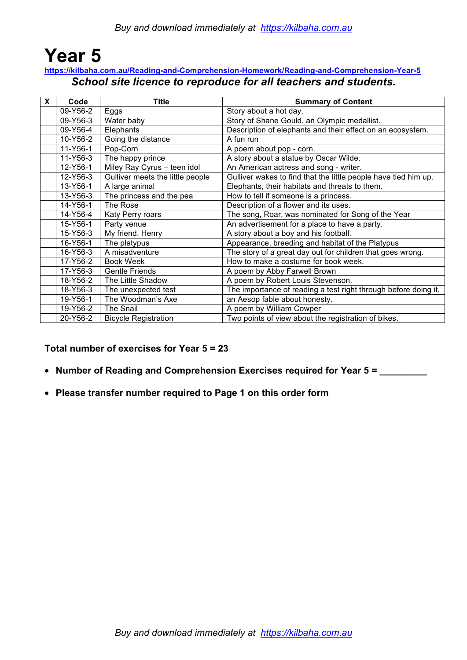### **Year 5 https://kilbaha.com.au/Reading-and-Comprehension-Homework/Reading-and-Comprehension-Year-5** *School site licence to reproduce for all teachers and students.*

| X | Code     | <b>Title</b>                     | <b>Summary of Content</b>                                       |
|---|----------|----------------------------------|-----------------------------------------------------------------|
|   | 09-Y56-2 | Eggs                             | Story about a hot day.                                          |
|   | 09-Y56-3 | Water baby                       | Story of Shane Gould, an Olympic medallist.                     |
|   | 09-Y56-4 | Elephants                        | Description of elephants and their effect on an ecosystem.      |
|   | 10-Y56-2 | Going the distance               | A fun run                                                       |
|   | 11-Y56-1 | Pop-Corn                         | A poem about pop - corn.                                        |
|   | 11-Y56-3 | The happy prince                 | A story about a statue by Oscar Wilde.                          |
|   | 12-Y56-1 | Miley Ray Cyrus - teen idol      | An American actress and song - writer.                          |
|   | 12-Y56-3 | Gulliver meets the little people | Gulliver wakes to find that the little people have tied him up. |
|   | 13-Y56-1 | A large animal                   | Elephants, their habitats and threats to them.                  |
|   | 13-Y56-3 | The princess and the pea         | How to tell if someone is a princess.                           |
|   | 14-Y56-1 | The Rose                         | Description of a flower and its uses.                           |
|   | 14-Y56-4 | Katy Perry roars                 | The song, Roar, was nominated for Song of the Year              |
|   | 15-Y56-1 | Party venue                      | An advertisement for a place to have a party.                   |
|   | 15-Y56-3 | My friend, Henry                 | A story about a boy and his football.                           |
|   | 16-Y56-1 | The platypus                     | Appearance, breeding and habitat of the Platypus                |
|   | 16-Y56-3 | A misadventure                   | The story of a great day out for children that goes wrong.      |
|   | 17-Y56-2 | <b>Book Week</b>                 | How to make a costume for book week.                            |
|   | 17-Y56-3 | <b>Gentle Friends</b>            | A poem by Abby Farwell Brown                                    |
|   | 18-Y56-2 | The Little Shadow                | A poem by Robert Louis Stevenson.                               |
|   | 18-Y56-3 | The unexpected test              | The importance of reading a test right through before doing it. |
|   | 19-Y56-1 | The Woodman's Axe                | an Aesop fable about honesty.                                   |
|   | 19-Y56-2 | The Snail                        | A poem by William Cowper                                        |
|   | 20-Y56-2 | <b>Bicycle Registration</b>      | Two points of view about the registration of bikes.             |

### **Total number of exercises for Year 5 = 23**

- **Number of Reading and Comprehension Exercises required for Year 5 = \_\_\_\_\_\_\_\_\_**
- **Please transfer number required to Page 1 on this order form**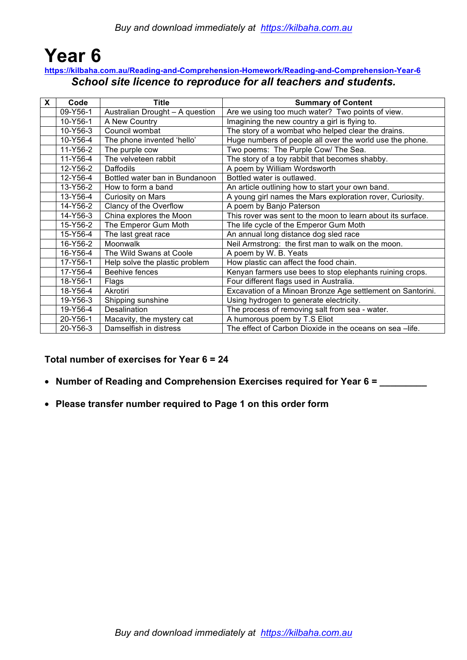### **Year 6 https://kilbaha.com.au/Reading-and-Comprehension-Homework/Reading-and-Comprehension-Year-6** *School site licence to reproduce for all teachers and students.*

| X. | Code     | Title                           | <b>Summary of Content</b>                                   |
|----|----------|---------------------------------|-------------------------------------------------------------|
|    | 09-Y56-1 | Australian Drought - A question | Are we using too much water? Two points of view.            |
|    | 10-Y56-1 | A New Country                   | Imagining the new country a girl is flying to.              |
|    | 10-Y56-3 | Council wombat                  | The story of a wombat who helped clear the drains.          |
|    | 10-Y56-4 | The phone invented 'hello'      | Huge numbers of people all over the world use the phone.    |
|    | 11-Y56-2 | The purple cow                  | Two poems: The Purple Cow/ The Sea.                         |
|    | 11-Y56-4 | The velveteen rabbit            | The story of a toy rabbit that becomes shabby.              |
|    | 12-Y56-2 | Daffodils                       | A poem by William Wordsworth                                |
|    | 12-Y56-4 | Bottled water ban in Bundanoon  | Bottled water is outlawed.                                  |
|    | 13-Y56-2 | How to form a band              | An article outlining how to start your own band.            |
|    | 13-Y56-4 | Curiosity on Mars               | A young girl names the Mars exploration rover, Curiosity.   |
|    | 14-Y56-2 | Clancy of the Overflow          | A poem by Banjo Paterson                                    |
|    | 14-Y56-3 | China explores the Moon         | This rover was sent to the moon to learn about its surface. |
|    | 15-Y56-2 | The Emperor Gum Moth            | The life cycle of the Emperor Gum Moth                      |
|    | 15-Y56-4 | The last great race             | An annual long distance dog sled race                       |
|    | 16-Y56-2 | Moonwalk                        | Neil Armstrong: the first man to walk on the moon.          |
|    | 16-Y56-4 | The Wild Swans at Coole         | A poem by W. B. Yeats                                       |
|    | 17-Y56-1 | Help solve the plastic problem  | How plastic can affect the food chain.                      |
|    | 17-Y56-4 | Beehive fences                  | Kenyan farmers use bees to stop elephants ruining crops.    |
|    | 18-Y56-1 | Flags                           | Four different flags used in Australia.                     |
|    | 18-Y56-4 | Akrotiri                        | Excavation of a Minoan Bronze Age settlement on Santorini.  |
|    | 19-Y56-3 | Shipping sunshine               | Using hydrogen to generate electricity.                     |
|    | 19-Y56-4 | Desalination                    | The process of removing salt from sea - water.              |
|    | 20-Y56-1 | Macavity, the mystery cat       | A humorous poem by T.S Eliot                                |
|    | 20-Y56-3 | Damselfish in distress          | The effect of Carbon Dioxide in the oceans on sea -life.    |

### **Total number of exercises for Year 6 = 24**

- **Number of Reading and Comprehension Exercises required for Year 6 = \_\_\_\_\_\_\_\_\_**
- **Please transfer number required to Page 1 on this order form**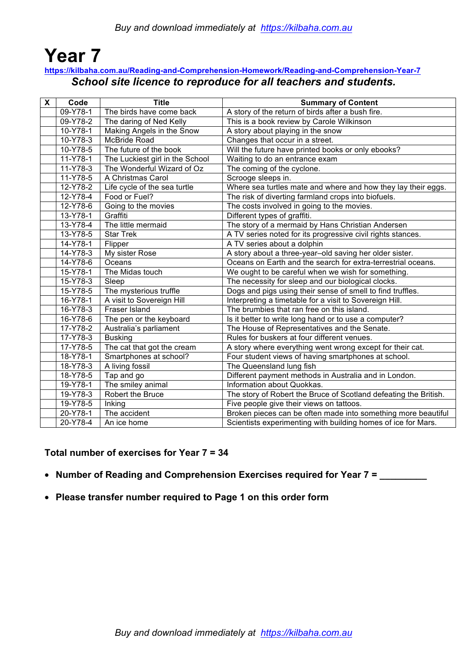### **Year 7 https://kilbaha.com.au/Reading-and-Comprehension-Homework/Reading-and-Comprehension-Year-7** *School site licence to reproduce for all teachers and students.*

| $\boldsymbol{\mathsf{X}}$ | Code           | <b>Title</b>                    | <b>Summary of Content</b>                                        |
|---------------------------|----------------|---------------------------------|------------------------------------------------------------------|
|                           | $09-Y78-1$     | The birds have come back        | A story of the return of birds after a bush fire.                |
|                           | 09-Y78-2       | The daring of Ned Kelly         | This is a book review by Carole Wilkinson                        |
|                           | 10-Y78-1       | Making Angels in the Snow       | A story about playing in the snow                                |
|                           | 10-Y78-3       | McBride Road                    | Changes that occur in a street.                                  |
|                           | 10-Y78-5       | The future of the book          | Will the future have printed books or only ebooks?               |
|                           | 11-Y78-1       | The Luckiest girl in the School | Waiting to do an entrance exam                                   |
|                           | 11-Y78-3       | The Wonderful Wizard of Oz      | The coming of the cyclone.                                       |
|                           | 11-Y78-5       | A Christmas Carol               | Scrooge sleeps in.                                               |
|                           | 12-Y78-2       | Life cycle of the sea turtle    | Where sea turtles mate and where and how they lay their eggs.    |
|                           | $12 - Y78 - 4$ | Food or Fuel?                   | The risk of diverting farmland crops into biofuels.              |
|                           | 12-Y78-6       | Going to the movies             | The costs involved in going to the movies.                       |
|                           | 13-Y78-1       | Graffiti                        | Different types of graffiti.                                     |
|                           | 13-Y78-4       | The little mermaid              | The story of a mermaid by Hans Christian Andersen                |
|                           | 13-Y78-5       | <b>Star Trek</b>                | A TV series noted for its progressive civil rights stances.      |
|                           | 14-Y78-1       | Flipper                         | A TV series about a dolphin                                      |
|                           | 14-Y78-3       | My sister Rose                  | A story about a three-year-old saving her older sister.          |
|                           | 14-Y78-6       | Oceans                          | Oceans on Earth and the search for extra-terrestrial oceans.     |
|                           | 15-Y78-1       | The Midas touch                 | We ought to be careful when we wish for something.               |
|                           | 15-Y78-3       | Sleep                           | The necessity for sleep and our biological clocks.               |
|                           | 15-Y78-5       | The mysterious truffle          | Dogs and pigs using their sense of smell to find truffles.       |
|                           | 16-Y78-1       | A visit to Sovereign Hill       | Interpreting a timetable for a visit to Sovereign Hill.          |
|                           | 16-Y78-3       | Fraser Island                   | The brumbies that ran free on this island.                       |
|                           | 16-Y78-6       | The pen or the keyboard         | Is it better to write long hand or to use a computer?            |
|                           | 17-Y78-2       | Australia's parliament          | The House of Representatives and the Senate.                     |
|                           | 17-Y78-3       | <b>Busking</b>                  | Rules for buskers at four different venues.                      |
|                           | 17-Y78-5       | The cat that got the cream      | A story where everything went wrong except for their cat.        |
|                           | 18-Y78-1       | Smartphones at school?          | Four student views of having smartphones at school.              |
|                           | 18-Y78-3       | A living fossil                 | The Queensland lung fish                                         |
|                           | 18-Y78-5       | Tap and go                      | Different payment methods in Australia and in London.            |
|                           | 19-Y78-1       | The smiley animal               | Information about Quokkas.                                       |
|                           | 19-Y78-3       | Robert the Bruce                | The story of Robert the Bruce of Scotland defeating the British. |
|                           | 19-Y78-5       | Inking                          | Five people give their views on tattoos.                         |
|                           | 20-Y78-1       | The accident                    | Broken pieces can be often made into something more beautiful    |
|                           | 20-Y78-4       | An ice home                     | Scientists experimenting with building homes of ice for Mars.    |

### **Total number of exercises for Year 7 = 34**

- **Number of Reading and Comprehension Exercises required for Year 7 = \_\_\_\_\_\_\_\_\_**
- **Please transfer number required to Page 1 on this order form**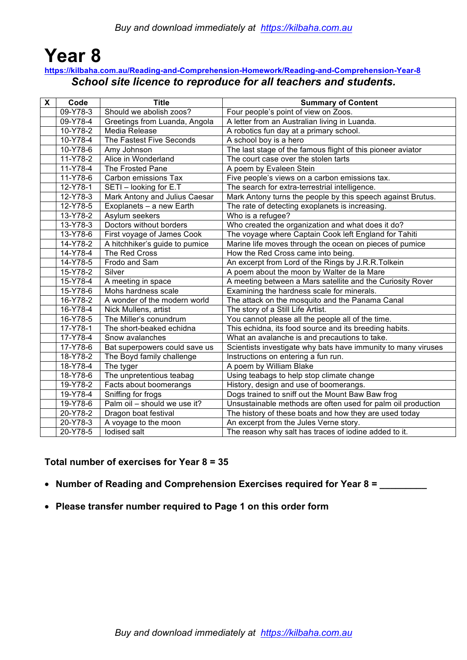# **Year 8**

### **https://kilbaha.com.au/Reading-and-Comprehension-Homework/Reading-and-Comprehension-Year-8** *School site licence to reproduce for all teachers and students.*

| X | Code     | <b>Title</b>                   | <b>Summary of Content</b>                                     |
|---|----------|--------------------------------|---------------------------------------------------------------|
|   | 09-Y78-3 | Should we abolish zoos?        | Four people's point of view on Zoos.                          |
|   | 09-Y78-4 | Greetings from Luanda, Angola  | A letter from an Australian living in Luanda.                 |
|   | 10-Y78-2 | Media Release                  | A robotics fun day at a primary school.                       |
|   | 10-Y78-4 | The Fastest Five Seconds       | A school boy is a hero                                        |
|   | 10-Y78-6 | Amy Johnson                    | The last stage of the famous flight of this pioneer aviator   |
|   | 11-Y78-2 | Alice in Wonderland            | The court case over the stolen tarts                          |
|   | 11-Y78-4 | The Frosted Pane               | A poem by Evaleen Stein                                       |
|   | 11-Y78-6 | Carbon emissions Tax           | Five people's views on a carbon emissions tax.                |
|   | 12-Y78-1 | SETI - looking for E.T         | The search for extra-terrestrial intelligence.                |
|   | 12-Y78-3 | Mark Antony and Julius Caesar  | Mark Antony turns the people by this speech against Brutus.   |
|   | 12-Y78-5 | Exoplanets - a new Earth       | The rate of detecting exoplanets is increasing.               |
|   | 13-Y78-2 | Asylum seekers                 | Who is a refugee?                                             |
|   | 13-Y78-3 | Doctors without borders        | Who created the organization and what does it do?             |
|   | 13-Y78-6 | First voyage of James Cook     | The voyage where Captain Cook left England for Tahiti         |
|   | 14-Y78-2 | A hitchhiker's guide to pumice | Marine life moves through the ocean on pieces of pumice       |
|   | 14-Y78-4 | The Red Cross                  | How the Red Cross came into being.                            |
|   | 14-Y78-5 | Frodo and Sam                  | An excerpt from Lord of the Rings by J.R.R.Tolkein            |
|   | 15-Y78-2 | Silver                         | A poem about the moon by Walter de la Mare                    |
|   | 15-Y78-4 | A meeting in space             | A meeting between a Mars satellite and the Curiosity Rover    |
|   | 15-Y78-6 | Mohs hardness scale            | Examining the hardness scale for minerals.                    |
|   | 16-Y78-2 | A wonder of the modern world   | The attack on the mosquito and the Panama Canal               |
|   | 16-Y78-4 | Nick Mullens, artist           | The story of a Still Life Artist.                             |
|   | 16-Y78-5 | The Miller's conundrum         | You cannot please all the people all of the time.             |
|   | 17-Y78-1 | The short-beaked echidna       | This echidna, its food source and its breeding habits.        |
|   | 17-Y78-4 | Snow avalanches                | What an avalanche is and precautions to take.                 |
|   | 17-Y78-6 | Bat superpowers could save us  | Scientists investigate why bats have immunity to many viruses |
|   | 18-Y78-2 | The Boyd family challenge      | Instructions on entering a fun run.                           |
|   | 18-Y78-4 | The tyger                      | A poem by William Blake                                       |
|   | 18-Y78-6 | The unpretentious teabag       | Using teabags to help stop climate change                     |
|   | 19-Y78-2 | Facts about boomerangs         | History, design and use of boomerangs.                        |
|   | 19-Y78-4 | Sniffing for frogs             | Dogs trained to sniff out the Mount Baw Baw frog              |
|   | 19-Y78-6 | Palm oil - should we use it?   | Unsustainable methods are often used for palm oil production  |
|   | 20-Y78-2 | Dragon boat festival           | The history of these boats and how they are used today        |
|   | 20-Y78-3 | A voyage to the moon           | An excerpt from the Jules Verne story.                        |
|   | 20-Y78-5 | lodised salt                   | The reason why salt has traces of iodine added to it.         |

### **Total number of exercises for Year 8 = 35**

- **Number of Reading and Comprehension Exercises required for Year 8 = \_\_\_\_\_\_\_\_\_**
- **Please transfer number required to Page 1 on this order form**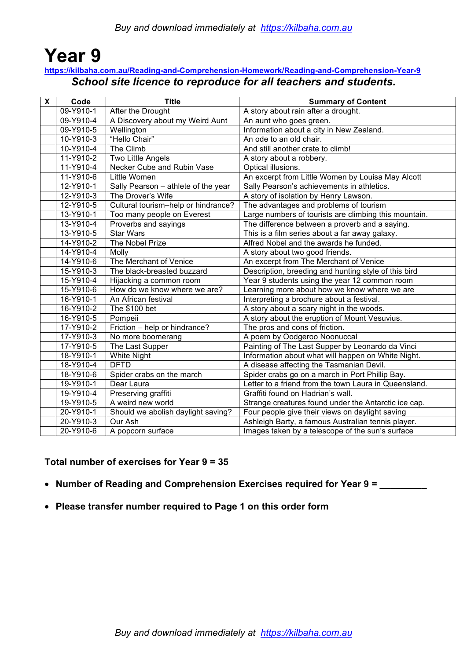### **Year 9 https://kilbaha.com.au/Reading-and-Comprehension-Homework/Reading-and-Comprehension-Year-9** *School site licence to reproduce for all teachers and students.*

| $\mathsf{X}$ | Code      | <b>Title</b>                        | <b>Summary of Content</b>                             |
|--------------|-----------|-------------------------------------|-------------------------------------------------------|
|              | 09-Y910-1 | After the Drought                   | A story about rain after a drought.                   |
|              | 09-Y910-4 | A Discovery about my Weird Aunt     | An aunt who goes green.                               |
|              | 09-Y910-5 | Wellington                          | Information about a city in New Zealand.              |
|              | 10-Y910-3 | "Hello Chair"                       | An ode to an old chair.                               |
|              | 10-Y910-4 | The Climb                           | And still another crate to climb!                     |
|              | 11-Y910-2 | Two Little Angels                   | A story about a robbery.                              |
|              | 11-Y910-4 | Necker Cube and Rubin Vase          | Optical illusions.                                    |
|              | 11-Y910-6 | <b>Little Women</b>                 | An excerpt from Little Women by Louisa May Alcott     |
|              | 12-Y910-1 | Sally Pearson - athlete of the year | Sally Pearson's achievements in athletics.            |
|              | 12-Y910-3 | The Drover's Wife                   | A story of isolation by Henry Lawson.                 |
|              | 12-Y910-5 | Cultural tourism-help or hindrance? | The advantages and problems of tourism                |
|              | 13-Y910-1 | Too many people on Everest          | Large numbers of tourists are climbing this mountain. |
|              | 13-Y910-4 | Proverbs and sayings                | The difference between a proverb and a saying.        |
|              | 13-Y910-5 | <b>Star Wars</b>                    | This is a film series about a far away galaxy.        |
|              | 14-Y910-2 | The Nobel Prize                     | Alfred Nobel and the awards he funded.                |
|              | 14-Y910-4 | Molly                               | A story about two good friends.                       |
|              | 14-Y910-6 | The Merchant of Venice              | An excerpt from The Merchant of Venice                |
|              | 15-Y910-3 | The black-breasted buzzard          | Description, breeding and hunting style of this bird  |
|              | 15-Y910-4 | Hijacking a common room             | Year 9 students using the year 12 common room         |
|              | 15-Y910-6 | How do we know where we are?        | Learning more about how we know where we are          |
|              | 16-Y910-1 | An African festival                 | Interpreting a brochure about a festival.             |
|              | 16-Y910-2 | The \$100 bet                       | A story about a scary night in the woods.             |
|              | 16-Y910-5 | Pompeii                             | A story about the eruption of Mount Vesuvius.         |
|              | 17-Y910-2 | Friction - help or hindrance?       | The pros and cons of friction.                        |
|              | 17-Y910-3 | No more boomerang                   | A poem by Oodgeroo Noonuccal                          |
|              | 17-Y910-5 | The Last Supper                     | Painting of The Last Supper by Leonardo da Vinci      |
|              | 18-Y910-1 | <b>White Night</b>                  | Information about what will happen on White Night.    |
|              | 18-Y910-4 | <b>DFTD</b>                         | A disease affecting the Tasmanian Devil.              |
|              | 18-Y910-6 | Spider crabs on the march           | Spider crabs go on a march in Port Phillip Bay.       |
|              | 19-Y910-1 | Dear Laura                          | Letter to a friend from the town Laura in Queensland. |
|              | 19-Y910-4 | Preserving graffiti                 | Graffiti found on Hadrian's wall.                     |
|              | 19-Y910-5 | A weird new world                   | Strange creatures found under the Antarctic ice cap.  |
|              | 20-Y910-1 | Should we abolish daylight saving?  | Four people give their views on daylight saving       |
|              | 20-Y910-3 | Our Ash                             | Ashleigh Barty, a famous Australian tennis player.    |
|              | 20-Y910-6 | A popcorn surface                   | Images taken by a telescope of the sun's surface      |

### **Total number of exercises for Year 9 = 35**

- **Number of Reading and Comprehension Exercises required for Year 9 = \_\_\_\_\_\_\_\_\_**
- **Please transfer number required to Page 1 on this order form**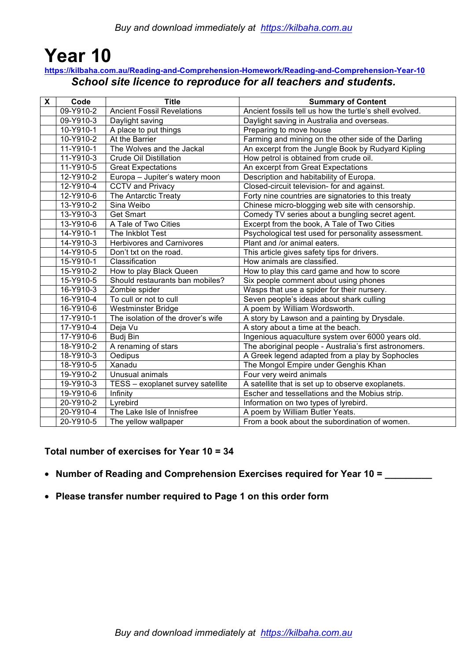# **Year 10**

### **https://kilbaha.com.au/Reading-and-Comprehension-Homework/Reading-and-Comprehension-Year-10** *School site licence to reproduce for all teachers and students.*

| $\mathsf{X}$ | Code      | <b>Title</b>                       | <b>Summary of Content</b>                               |
|--------------|-----------|------------------------------------|---------------------------------------------------------|
|              | 09-Y910-2 | <b>Ancient Fossil Revelations</b>  | Ancient fossils tell us how the turtle's shell evolved. |
|              | 09-Y910-3 | Daylight saving                    | Daylight saving in Australia and overseas.              |
|              | 10-Y910-1 | A place to put things              | Preparing to move house                                 |
|              | 10-Y910-2 | At the Barrier                     | Farming and mining on the other side of the Darling     |
|              | 11-Y910-1 | The Wolves and the Jackal          | An excerpt from the Jungle Book by Rudyard Kipling      |
|              | 11-Y910-3 | <b>Crude Oil Distillation</b>      | How petrol is obtained from crude oil.                  |
|              | 11-Y910-5 | <b>Great Expectations</b>          | An excerpt from Great Expectations                      |
|              | 12-Y910-2 | Europa - Jupiter's watery moon     | Description and habitability of Europa.                 |
|              | 12-Y910-4 | <b>CCTV and Privacy</b>            | Closed-circuit television- for and against.             |
|              | 12-Y910-6 | The Antarctic Treaty               | Forty nine countries are signatories to this treaty     |
|              | 13-Y910-2 | Sina Weibo                         | Chinese micro-blogging web site with censorship.        |
|              | 13-Y910-3 | <b>Get Smart</b>                   | Comedy TV series about a bungling secret agent.         |
|              | 13-Y910-6 | A Tale of Two Cities               | Excerpt from the book, A Tale of Two Cities             |
|              | 14-Y910-1 | The Inkblot Test                   | Psychological test used for personality assessment.     |
|              | 14-Y910-3 | <b>Herbivores and Carnivores</b>   | Plant and /or animal eaters.                            |
|              | 14-Y910-5 | Don't txt on the road.             | This article gives safety tips for drivers.             |
|              | 15-Y910-1 | Classification                     | How animals are classified.                             |
|              | 15-Y910-2 | How to play Black Queen            | How to play this card game and how to score             |
|              | 15-Y910-5 | Should restaurants ban mobiles?    | Six people comment about using phones                   |
|              | 16-Y910-3 | Zombie spider                      | Wasps that use a spider for their nursery.              |
|              | 16-Y910-4 | To cull or not to cull             | Seven people's ideas about shark culling                |
|              | 16-Y910-6 | Westminster Bridge                 | A poem by William Wordsworth.                           |
|              | 17-Y910-1 | The isolation of the drover's wife | A story by Lawson and a painting by Drysdale.           |
|              | 17-Y910-4 | Deja Vu                            | A story about a time at the beach.                      |
|              | 17-Y910-6 | <b>Budj Bin</b>                    | Ingenious aquaculture system over 6000 years old.       |
|              | 18-Y910-2 | A renaming of stars                | The aboriginal people - Australia's first astronomers.  |
|              | 18-Y910-3 | Oedipus                            | A Greek legend adapted from a play by Sophocles         |
|              | 18-Y910-5 | Xanadu                             | The Mongol Empire under Genghis Khan                    |
|              | 19-Y910-2 | Unusual animals                    | Four very weird animals                                 |
|              | 19-Y910-3 | TESS - exoplanet survey satellite  | A satellite that is set up to observe exoplanets.       |
|              | 19-Y910-6 | Infinity                           | Escher and tessellations and the Mobius strip.          |
|              | 20-Y910-2 | Lyrebird                           | Information on two types of lyrebird.                   |
|              | 20-Y910-4 | The Lake Isle of Innisfree         | A poem by William Butler Yeats.                         |
|              | 20-Y910-5 | The yellow wallpaper               | From a book about the subordination of women.           |

### **Total number of exercises for Year 10 = 34**

- **Number of Reading and Comprehension Exercises required for Year 10 = \_\_\_\_\_\_\_\_\_**
- **Please transfer number required to Page 1 on this order form**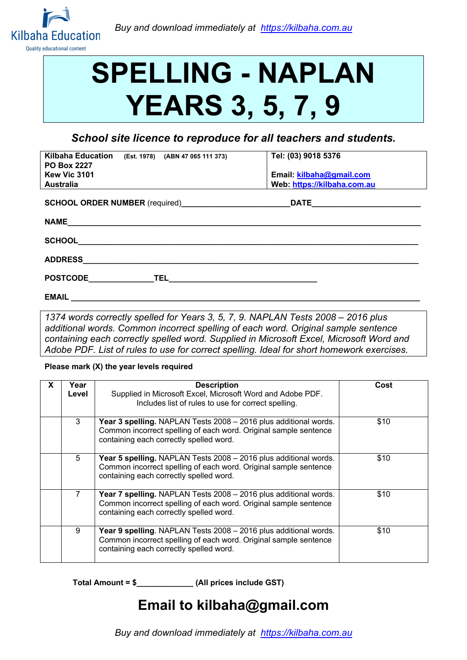

# **SPELLING - NAPLAN YEARS 3, 5, 7, 9**

*School site licence to reproduce for all teachers and students.*

| <b>Kilbaha Education</b><br>(Est. 1978) (ABN 47 065 111 373)<br><b>PO Box 2227</b> | Tel: (03) 9018 5376         |
|------------------------------------------------------------------------------------|-----------------------------|
| <b>Kew Vic 3101</b>                                                                | Email: kilbaha@gmail.com    |
| <b>Australia</b>                                                                   | Web: https://kilbaha.com.au |
| <b>SCHOOL ORDER NUMBER</b> (required)                                              | <b>DATE</b>                 |
| <b>NAME</b>                                                                        |                             |
| <b>SCHOOL</b>                                                                      |                             |
| <b>ADDRESS</b>                                                                     |                             |
| <b>POSTCODE</b><br><b>TEL</b>                                                      |                             |
| <b>EMAIL</b>                                                                       |                             |

*1374 words correctly spelled for Years 3, 5, 7, 9. NAPLAN Tests 2008 – 2016 plus additional words. Common incorrect spelling of each word. Original sample sentence containing each correctly spelled word. Supplied in Microsoft Excel, Microsoft Word and Adobe PDF. List of rules to use for correct spelling. Ideal for short homework exercises.*

#### **Please mark (X) the year levels required**

| Year<br>Level | <b>Description</b><br>Supplied in Microsoft Excel, Microsoft Word and Adobe PDF.<br>Includes list of rules to use for correct spelling.                                                | Cost |
|---------------|----------------------------------------------------------------------------------------------------------------------------------------------------------------------------------------|------|
| 3             | Year 3 spelling. NAPLAN Tests 2008 - 2016 plus additional words.<br>Common incorrect spelling of each word. Original sample sentence<br>containing each correctly spelled word.        | \$10 |
| 5             | Year 5 spelling. NAPLAN Tests 2008 - 2016 plus additional words.<br>Common incorrect spelling of each word. Original sample sentence<br>containing each correctly spelled word.        | \$10 |
| 7             | Year 7 spelling. NAPLAN Tests 2008 - 2016 plus additional words.<br>Common incorrect spelling of each word. Original sample sentence<br>containing each correctly spelled word.        | \$10 |
| 9             | <b>Year 9 spelling.</b> NAPLAN Tests 2008 – 2016 plus additional words.<br>Common incorrect spelling of each word. Original sample sentence<br>containing each correctly spelled word. | \$10 |

**Total Amount = \$\_\_\_\_\_\_\_\_\_\_\_\_\_ (All prices include GST)**

### **Email to kilbaha@gmail.com**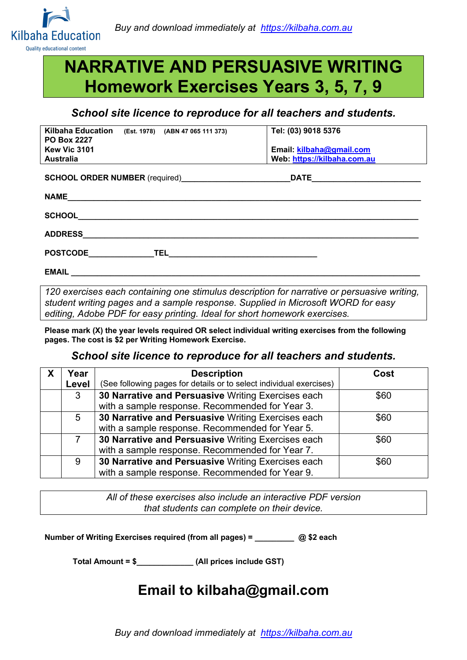

## **NARRATIVE AND PERSUASIVE WRITING Homework Exercises Years 3, 5, 7, 9**

### *School site licence to reproduce for all teachers and students.*

| <b>Kilbaha Education</b><br>(Est. 1978) (ABN 47 065 111 373)<br><b>PO Box 2227</b><br>Kew Vic 3101                                                                                                                                     | Tel: (03) 9018 5376<br>Email: kilbaha@gmail.com |
|----------------------------------------------------------------------------------------------------------------------------------------------------------------------------------------------------------------------------------------|-------------------------------------------------|
|                                                                                                                                                                                                                                        |                                                 |
| <b>Australia</b>                                                                                                                                                                                                                       | Web. https://kilbaha.com.au                     |
|                                                                                                                                                                                                                                        |                                                 |
| SCHOOL ORDER NUMBER (required)<br><u>Letter and the set of the set of the set of the set of the set of the set of the set of the set of the set of the set of the set of the set of the set of the set of the set of the set of th</u> |                                                 |
|                                                                                                                                                                                                                                        |                                                 |
|                                                                                                                                                                                                                                        |                                                 |
|                                                                                                                                                                                                                                        |                                                 |
| <b>SCHOOL</b><br><u> 1989 - Andrea Station Andrea Station (1989), actor a contratto della contratta della contratta dell'India</u>                                                                                                     |                                                 |
|                                                                                                                                                                                                                                        |                                                 |
| <b>ADDRESS</b>                                                                                                                                                                                                                         |                                                 |
|                                                                                                                                                                                                                                        |                                                 |
|                                                                                                                                                                                                                                        |                                                 |
| POSTCODE TELESTING TELESTING AND TELESTING AND TELESTING AND TELESTING AND TELESTING AND TELESTING AND TELESTING                                                                                                                       |                                                 |
|                                                                                                                                                                                                                                        |                                                 |
| EMAIL ________________________                                                                                                                                                                                                         |                                                 |

*120 exercises each containing one stimulus description for narrative or persuasive writing, student writing pages and a sample response. Supplied in Microsoft WORD for easy editing, Adobe PDF for easy printing. Ideal for short homework exercises.*

**Please mark (X) the year levels required OR select individual writing exercises from the following pages. The cost is \$2 per Writing Homework Exercise.**

#### *School site licence to reproduce for all teachers and students.*

| Year  | <b>Description</b>                                                  | Cost |
|-------|---------------------------------------------------------------------|------|
| Level | (See following pages for details or to select individual exercises) |      |
| 3     | 30 Narrative and Persuasive Writing Exercises each                  | \$60 |
|       | with a sample response. Recommended for Year 3.                     |      |
| 5     | 30 Narrative and Persuasive Writing Exercises each                  | \$60 |
|       | with a sample response. Recommended for Year 5.                     |      |
| 7     | 30 Narrative and Persuasive Writing Exercises each                  | \$60 |
|       | with a sample response. Recommended for Year 7.                     |      |
| 9     | 30 Narrative and Persuasive Writing Exercises each                  | \$60 |
|       | with a sample response. Recommended for Year 9.                     |      |

*All of these exercises also include an interactive PDF version that students can complete on their device.*

**Number of Writing Exercises required (from all pages) = \_\_\_\_\_\_\_\_\_ @ \$2 each** 

**Total Amount = \$\_\_\_\_\_\_\_\_\_\_\_\_\_ (All prices include GST)**

### **Email to kilbaha@gmail.com**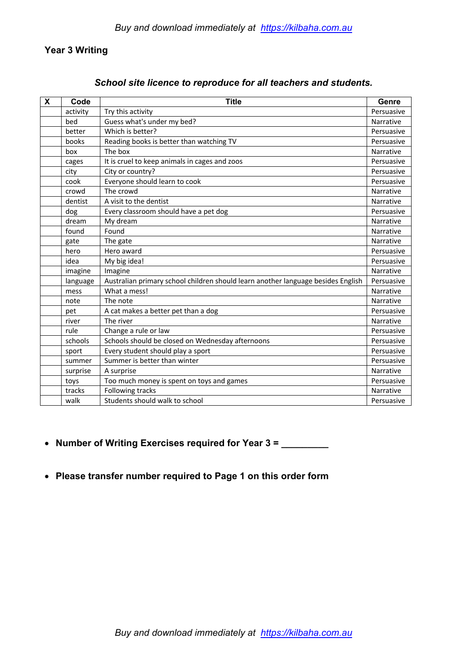### **Year 3 Writing**

| X | Code     | <b>Title</b>                                                                     | Genre      |
|---|----------|----------------------------------------------------------------------------------|------------|
|   | activity | Try this activity                                                                | Persuasive |
|   | bed      | Guess what's under my bed?                                                       | Narrative  |
|   | better   | Which is better?                                                                 | Persuasive |
|   | books    | Reading books is better than watching TV                                         | Persuasive |
|   | box      | The box                                                                          | Narrative  |
|   | cages    | It is cruel to keep animals in cages and zoos                                    | Persuasive |
|   | city     | City or country?                                                                 | Persuasive |
|   | cook     | Everyone should learn to cook                                                    | Persuasive |
|   | crowd    | The crowd                                                                        | Narrative  |
|   | dentist  | A visit to the dentist                                                           | Narrative  |
|   | dog      | Every classroom should have a pet dog                                            | Persuasive |
|   | dream    | My dream                                                                         | Narrative  |
|   | found    | Found                                                                            | Narrative  |
|   | gate     | The gate                                                                         | Narrative  |
|   | hero     | Hero award                                                                       | Persuasive |
|   | idea     | My big idea!                                                                     | Persuasive |
|   | imagine  | Imagine                                                                          | Narrative  |
|   | language | Australian primary school children should learn another language besides English | Persuasive |
|   | mess     | What a mess!                                                                     | Narrative  |
|   | note     | The note                                                                         | Narrative  |
|   | pet      | A cat makes a better pet than a dog                                              | Persuasive |
|   | river    | The river                                                                        | Narrative  |
|   | rule     | Change a rule or law                                                             | Persuasive |
|   | schools  | Schools should be closed on Wednesday afternoons                                 | Persuasive |
|   | sport    | Every student should play a sport                                                | Persuasive |
|   | summer   | Summer is better than winter                                                     | Persuasive |
|   | surprise | A surprise                                                                       | Narrative  |
|   | toys     | Too much money is spent on toys and games                                        | Persuasive |
|   | tracks   | Following tracks                                                                 | Narrative  |
|   | walk     | Students should walk to school                                                   | Persuasive |

### *School site licence to reproduce for all teachers and students.*

• **Number of Writing Exercises required for Year 3 = \_\_\_\_\_\_\_\_\_**

### • **Please transfer number required to Page 1 on this order form**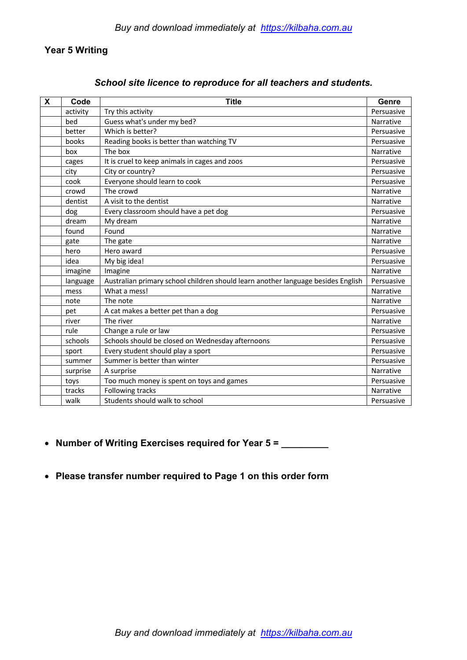### **Year 5 Writing**

| X | Code     | <b>Title</b>                                                                     | Genre      |
|---|----------|----------------------------------------------------------------------------------|------------|
|   | activity | Try this activity                                                                | Persuasive |
|   | bed      | Guess what's under my bed?                                                       | Narrative  |
|   | better   | Which is better?                                                                 | Persuasive |
|   | books    | Reading books is better than watching TV                                         | Persuasive |
|   | box      | The box                                                                          | Narrative  |
|   | cages    | It is cruel to keep animals in cages and zoos                                    | Persuasive |
|   | city     | City or country?                                                                 | Persuasive |
|   | cook     | Everyone should learn to cook                                                    | Persuasive |
|   | crowd    | The crowd                                                                        | Narrative  |
|   | dentist  | A visit to the dentist                                                           | Narrative  |
|   | dog      | Every classroom should have a pet dog                                            | Persuasive |
|   | dream    | My dream                                                                         | Narrative  |
|   | found    | Found                                                                            | Narrative  |
|   | gate     | The gate                                                                         | Narrative  |
|   | hero     | Hero award                                                                       | Persuasive |
|   | idea     | My big idea!                                                                     | Persuasive |
|   | imagine  | Imagine                                                                          | Narrative  |
|   | language | Australian primary school children should learn another language besides English | Persuasive |
|   | mess     | What a mess!                                                                     | Narrative  |
|   | note     | The note                                                                         | Narrative  |
|   | pet      | A cat makes a better pet than a dog                                              | Persuasive |
|   | river    | The river                                                                        | Narrative  |
|   | rule     | Change a rule or law                                                             | Persuasive |
|   | schools  | Schools should be closed on Wednesday afternoons                                 | Persuasive |
|   | sport    | Every student should play a sport                                                | Persuasive |
|   | summer   | Summer is better than winter                                                     | Persuasive |
|   | surprise | A surprise                                                                       | Narrative  |
|   | toys     | Too much money is spent on toys and games                                        | Persuasive |
|   | tracks   | Following tracks                                                                 | Narrative  |
|   | walk     | Students should walk to school                                                   | Persuasive |

### *School site licence to reproduce for all teachers and students.*

• **Number of Writing Exercises required for Year 5 = \_\_\_\_\_\_\_\_\_**

### • **Please transfer number required to Page 1 on this order form**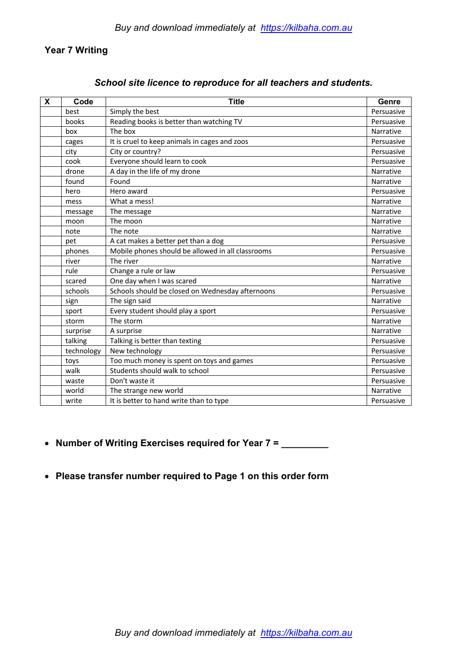### **Year 7 Writing**

|  |  |  | School site licence to reproduce for all teachers and students. |
|--|--|--|-----------------------------------------------------------------|
|--|--|--|-----------------------------------------------------------------|

| $\boldsymbol{\mathsf{X}}$ | Code       | <b>Title</b>                                      | Genre      |
|---------------------------|------------|---------------------------------------------------|------------|
|                           | best       | Simply the best                                   | Persuasive |
|                           | books      | Reading books is better than watching TV          | Persuasive |
|                           | box        | The box                                           | Narrative  |
|                           | cages      | It is cruel to keep animals in cages and zoos     | Persuasive |
|                           | city       | City or country?                                  | Persuasive |
|                           | cook       | Everyone should learn to cook                     | Persuasive |
|                           | drone      | A day in the life of my drone                     | Narrative  |
|                           | found      | Found                                             | Narrative  |
|                           | hero       | Hero award                                        | Persuasive |
|                           | mess       | What a mess!                                      | Narrative  |
|                           | message    | The message                                       | Narrative  |
|                           | moon       | The moon                                          | Narrative  |
|                           | note       | The note                                          | Narrative  |
|                           | pet        | A cat makes a better pet than a dog               | Persuasive |
|                           | phones     | Mobile phones should be allowed in all classrooms | Persuasive |
|                           | river      | The river                                         | Narrative  |
|                           | rule       | Change a rule or law                              | Persuasive |
|                           | scared     | One day when I was scared                         | Narrative  |
|                           | schools    | Schools should be closed on Wednesday afternoons  | Persuasive |
|                           | sign       | The sign said                                     | Narrative  |
|                           | sport      | Every student should play a sport                 | Persuasive |
|                           | storm      | The storm                                         | Narrative  |
|                           | surprise   | A surprise                                        | Narrative  |
|                           | talking    | Talking is better than texting                    | Persuasive |
|                           | technology | New technology                                    | Persuasive |
|                           | toys       | Too much money is spent on toys and games         | Persuasive |
|                           | walk       | Students should walk to school                    | Persuasive |
|                           | waste      | Don't waste it                                    | Persuasive |
|                           | world      | The strange new world                             | Narrative  |
|                           | write      | It is better to hand write than to type           | Persuasive |

- **Number of Writing Exercises required for Year 7 = \_\_\_\_\_\_\_\_\_**
- **Please transfer number required to Page 1 on this order form**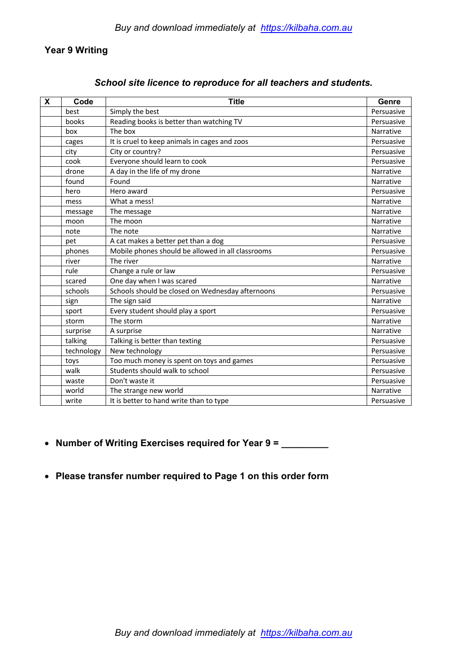### **Year 9 Writing**

### *School site licence to reproduce for all teachers and students.*

| $\boldsymbol{\mathsf{X}}$ | Code       | <b>Title</b>                                      | Genre      |
|---------------------------|------------|---------------------------------------------------|------------|
|                           | best       | Simply the best                                   | Persuasive |
|                           | books      | Reading books is better than watching TV          | Persuasive |
|                           | box        | The box                                           | Narrative  |
|                           | cages      | It is cruel to keep animals in cages and zoos     | Persuasive |
|                           | city       | City or country?                                  | Persuasive |
|                           | cook       | Everyone should learn to cook                     | Persuasive |
|                           | drone      | A day in the life of my drone                     | Narrative  |
|                           | found      | Found                                             | Narrative  |
|                           | hero       | Hero award                                        | Persuasive |
|                           | mess       | What a mess!                                      | Narrative  |
|                           | message    | The message                                       | Narrative  |
|                           | moon       | The moon                                          | Narrative  |
|                           | note       | The note                                          | Narrative  |
|                           | pet        | A cat makes a better pet than a dog               | Persuasive |
|                           | phones     | Mobile phones should be allowed in all classrooms | Persuasive |
|                           | river      | The river                                         | Narrative  |
|                           | rule       | Change a rule or law                              | Persuasive |
|                           | scared     | One day when I was scared                         | Narrative  |
|                           | schools    | Schools should be closed on Wednesday afternoons  | Persuasive |
|                           | sign       | The sign said                                     | Narrative  |
|                           | sport      | Every student should play a sport                 | Persuasive |
|                           | storm      | The storm                                         | Narrative  |
|                           | surprise   | A surprise                                        | Narrative  |
|                           | talking    | Talking is better than texting                    | Persuasive |
|                           | technology | New technology                                    | Persuasive |
|                           | toys       | Too much money is spent on toys and games         | Persuasive |
|                           | walk       | Students should walk to school                    | Persuasive |
|                           | waste      | Don't waste it                                    | Persuasive |
|                           | world      | The strange new world                             | Narrative  |
|                           | write      | It is better to hand write than to type           | Persuasive |

- **Number of Writing Exercises required for Year 9 = \_\_\_\_\_\_\_\_\_**
- **Please transfer number required to Page 1 on this order form**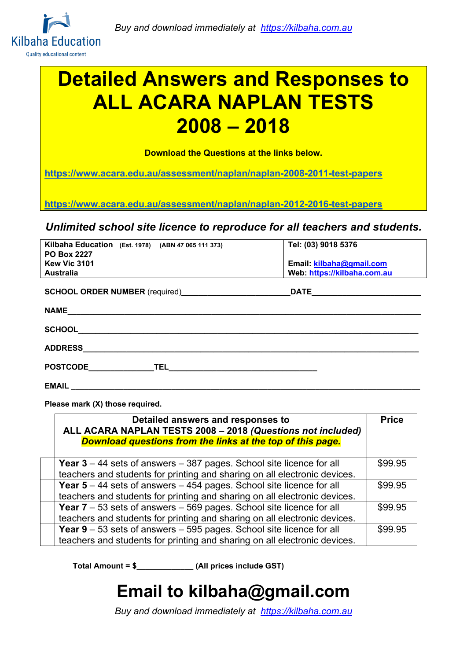

# **Detailed Answers and Responses to ALL ACARA NAPLAN TESTS 2008 – 2018**

**Download the Questions at the links below.**

**https://www.acara.edu.au/assessment/naplan/naplan-2008-2011-test-papers**

**https://www.acara.edu.au/assessment/naplan/naplan-2012-2016-test-papers**

*Unlimited school site licence to reproduce for all teachers and students.*

| Kilbaha Education (Est. 1978) (ABN 47 065 111 373)<br><b>PO Box 2227</b><br><b>Kew Vic 3101</b><br><b>Australia</b> | Tel: (03) 9018 5376<br>Email: kilbaha@gmail.com<br>Web https://kilbaha.com.au |
|---------------------------------------------------------------------------------------------------------------------|-------------------------------------------------------------------------------|
| <b>SCHOOL ORDER NUMBER</b> (required)                                                                               |                                                                               |
| <b>NAME</b>                                                                                                         |                                                                               |
|                                                                                                                     |                                                                               |
| <b>ADDRESS</b>                                                                                                      |                                                                               |
| <b>POSTCODE</b><br><b>TEL</b>                                                                                       |                                                                               |

**EMAIL \_\_\_\_\_\_\_\_\_\_\_\_\_\_\_\_\_\_\_\_\_\_\_\_\_\_\_\_\_\_\_\_\_\_\_\_\_\_\_\_\_\_\_\_\_\_\_\_\_\_\_\_\_\_\_\_\_\_\_\_\_\_\_\_\_\_\_\_\_\_\_\_\_\_\_\_\_\_\_\_** 

**Please mark (X) those required.** 

| Detailed answers and responses to<br>ALL ACARA NAPLAN TESTS 2008 - 2018 (Questions not included)<br>Download questions from the links at the top of this page. | <b>Price</b> |
|----------------------------------------------------------------------------------------------------------------------------------------------------------------|--------------|
| <b>Year 3</b> – 44 sets of answers – 387 pages. School site licence for all<br>teachers and students for printing and sharing on all electronic devices.       | \$99.95      |
| <b>Year 5</b> – 44 sets of answers – 454 pages. School site licence for all<br>teachers and students for printing and sharing on all electronic devices.       | \$99.95      |
| <b>Year 7</b> – 53 sets of answers – 569 pages. School site licence for all<br>teachers and students for printing and sharing on all electronic devices.       | \$99.95      |
| <b>Year 9</b> $-$ 53 sets of answers $-$ 595 pages. School site licence for all<br>teachers and students for printing and sharing on all electronic devices.   | \$99.95      |

**Total Amount = \$\_\_\_\_\_\_\_\_\_\_\_\_\_ (All prices include GST)**

# **Email to kilbaha@gmail.com**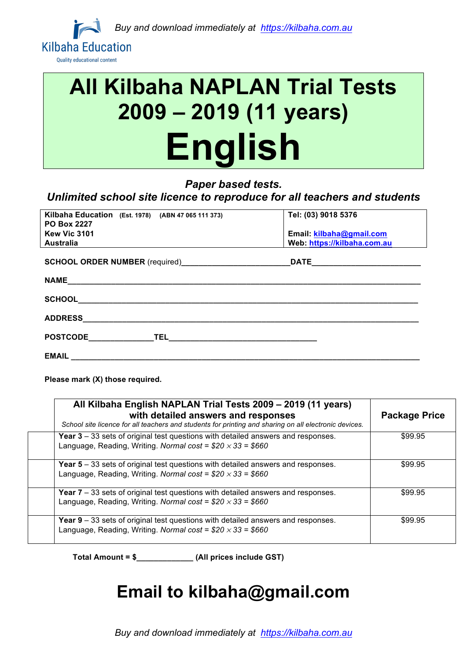

# **All Kilbaha NAPLAN Trial Tests 2009 – 2019 (11 years) English**

### *Paper based tests.*

### *Unlimited school site licence to reproduce for all teachers and students*

| Kilbaha Education (Est. 1978) (ABN 47 065 111 373)<br><b>PO Box 2227</b> | Tel: (03) 9018 5376         |
|--------------------------------------------------------------------------|-----------------------------|
| <b>Kew Vic 3101</b>                                                      | Email: kilbaha@gmail.com    |
| <b>Australia</b>                                                         | Web: https://kilbaha.com.au |
|                                                                          |                             |
|                                                                          |                             |
|                                                                          |                             |
| <b>ADDRESS</b>                                                           |                             |
| POSTCODE TEL TEL ACCORDING TELECTRIC POSTCODE                            |                             |
| <b>EMAIL</b>                                                             |                             |

**Please mark (X) those required.**

| All Kilbaha English NAPLAN Trial Tests 2009 - 2019 (11 years)<br>with detailed answers and responses<br>School site licence for all teachers and students for printing and sharing on all electronic devices. | <b>Package Price</b> |
|---------------------------------------------------------------------------------------------------------------------------------------------------------------------------------------------------------------|----------------------|
| Year $3 - 33$ sets of original test questions with detailed answers and responses.<br>Language, Reading, Writing. Normal cost = $$20 \times 33 = $660$                                                        | \$99.95              |
| <b>Year 5</b> – 33 sets of original test questions with detailed answers and responses.<br>Language, Reading, Writing. Normal cost = $$20 \times 33 = $660$                                                   | \$99.95              |
| <b>Year 7</b> – 33 sets of original test questions with detailed answers and responses.<br>Language, Reading, Writing. Normal cost = $$20 \times 33 = $660$                                                   | \$99.95              |
| <b>Year 9</b> – 33 sets of original test questions with detailed answers and responses.<br>Language, Reading, Writing. Normal cost = $$20 \times 33 = $660$                                                   | \$99.95              |

**Total Amount = \$\_\_\_\_\_\_\_\_\_\_\_\_\_ (All prices include GST)**

# **Email to kilbaha@gmail.com**